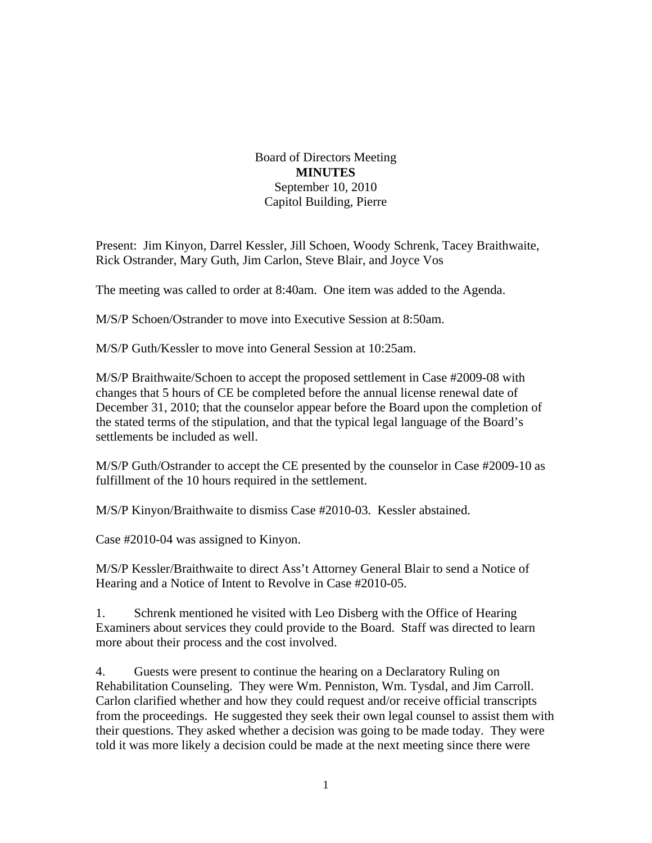Board of Directors Meeting **MINUTES**  September 10, 2010 Capitol Building, Pierre

Present: Jim Kinyon, Darrel Kessler, Jill Schoen, Woody Schrenk, Tacey Braithwaite, Rick Ostrander, Mary Guth, Jim Carlon, Steve Blair, and Joyce Vos

The meeting was called to order at 8:40am. One item was added to the Agenda.

M/S/P Schoen/Ostrander to move into Executive Session at 8:50am.

M/S/P Guth/Kessler to move into General Session at 10:25am.

M/S/P Braithwaite/Schoen to accept the proposed settlement in Case #2009-08 with changes that 5 hours of CE be completed before the annual license renewal date of December 31, 2010; that the counselor appear before the Board upon the completion of the stated terms of the stipulation, and that the typical legal language of the Board's settlements be included as well.

M/S/P Guth/Ostrander to accept the CE presented by the counselor in Case #2009-10 as fulfillment of the 10 hours required in the settlement.

M/S/P Kinyon/Braithwaite to dismiss Case #2010-03. Kessler abstained.

Case #2010-04 was assigned to Kinyon.

M/S/P Kessler/Braithwaite to direct Ass't Attorney General Blair to send a Notice of Hearing and a Notice of Intent to Revolve in Case #2010-05.

1. Schrenk mentioned he visited with Leo Disberg with the Office of Hearing Examiners about services they could provide to the Board. Staff was directed to learn more about their process and the cost involved.

4. Guests were present to continue the hearing on a Declaratory Ruling on Rehabilitation Counseling. They were Wm. Penniston, Wm. Tysdal, and Jim Carroll. Carlon clarified whether and how they could request and/or receive official transcripts from the proceedings. He suggested they seek their own legal counsel to assist them with their questions. They asked whether a decision was going to be made today. They were told it was more likely a decision could be made at the next meeting since there were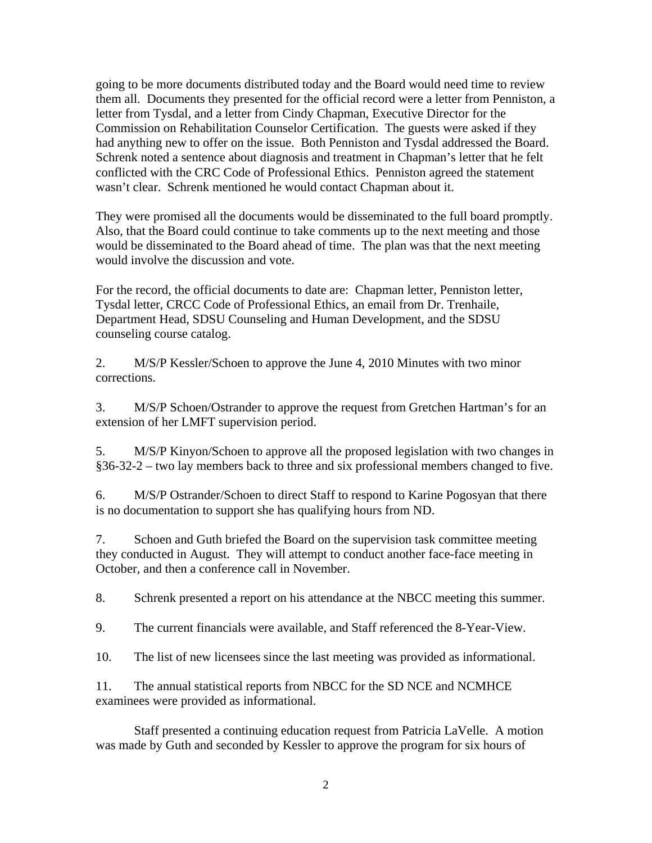going to be more documents distributed today and the Board would need time to review them all. Documents they presented for the official record were a letter from Penniston, a letter from Tysdal, and a letter from Cindy Chapman, Executive Director for the Commission on Rehabilitation Counselor Certification. The guests were asked if they had anything new to offer on the issue. Both Penniston and Tysdal addressed the Board. Schrenk noted a sentence about diagnosis and treatment in Chapman's letter that he felt conflicted with the CRC Code of Professional Ethics. Penniston agreed the statement wasn't clear. Schrenk mentioned he would contact Chapman about it.

They were promised all the documents would be disseminated to the full board promptly. Also, that the Board could continue to take comments up to the next meeting and those would be disseminated to the Board ahead of time. The plan was that the next meeting would involve the discussion and vote.

For the record, the official documents to date are: Chapman letter, Penniston letter, Tysdal letter, CRCC Code of Professional Ethics, an email from Dr. Trenhaile, Department Head, SDSU Counseling and Human Development, and the SDSU counseling course catalog.

2. M/S/P Kessler/Schoen to approve the June 4, 2010 Minutes with two minor corrections.

3. M/S/P Schoen/Ostrander to approve the request from Gretchen Hartman's for an extension of her LMFT supervision period.

5. M/S/P Kinyon/Schoen to approve all the proposed legislation with two changes in §36-32-2 – two lay members back to three and six professional members changed to five.

6. M/S/P Ostrander/Schoen to direct Staff to respond to Karine Pogosyan that there is no documentation to support she has qualifying hours from ND.

7. Schoen and Guth briefed the Board on the supervision task committee meeting they conducted in August. They will attempt to conduct another face-face meeting in October, and then a conference call in November.

8. Schrenk presented a report on his attendance at the NBCC meeting this summer.

9. The current financials were available, and Staff referenced the 8-Year-View.

10. The list of new licensees since the last meeting was provided as informational.

11. The annual statistical reports from NBCC for the SD NCE and NCMHCE examinees were provided as informational.

 Staff presented a continuing education request from Patricia LaVelle. A motion was made by Guth and seconded by Kessler to approve the program for six hours of